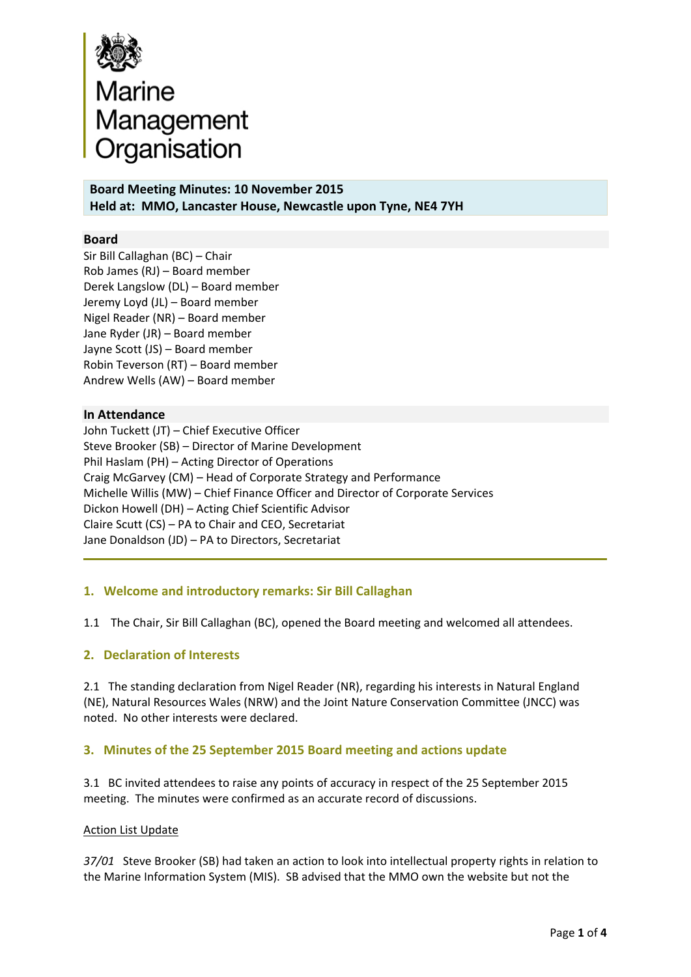

**Board Meeting Minutes: 10 November 2015 Held at: MMO, Lancaster House, Newcastle upon Tyne, NE4 7YH**

## **Board**

Sir Bill Callaghan (BC) – Chair Rob James (RJ) – Board member Derek Langslow (DL) – Board member Jeremy Loyd (JL) – Board member Nigel Reader (NR) – Board member Jane Ryder (JR) – Board member Jayne Scott (JS) – Board member Robin Teverson (RT) – Board member Andrew Wells (AW) – Board member

#### **In Attendance**

John Tuckett (JT) – Chief Executive Officer Steve Brooker (SB) – Director of Marine Development Phil Haslam (PH) – Acting Director of Operations Craig McGarvey (CM) – Head of Corporate Strategy and Performance Michelle Willis (MW) – Chief Finance Officer and Director of Corporate Services Dickon Howell (DH) – Acting Chief Scientific Advisor Claire Scutt (CS) – PA to Chair and CEO, Secretariat Jane Donaldson (JD) – PA to Directors, Secretariat

#### **1. Welcome and introductory remarks: Sir Bill Callaghan**

The Chair, Sir Bill Callaghan (BC), opened the Board meeting and welcomed all attendees. 1.1

### **2. Declaration of Interests**

2.1 The standing declaration from Nigel Reader (NR), regarding his interests in Natural England (NE), Natural Resources Wales (NRW) and the Joint Nature Conservation Committee (JNCC) was noted. No other interests were declared.

#### **3. Minutes of the 25 September 2015 Board meeting and actions update**

3.1 BC invited attendees to raise any points of accuracy in respect of the 25 September 2015 meeting. The minutes were confirmed as an accurate record of discussions.

#### Action List Update

*37/01* Steve Brooker (SB) had taken an action to look into intellectual property rights in relation to the Marine Information System (MIS). SB advised that the MMO own the website but not the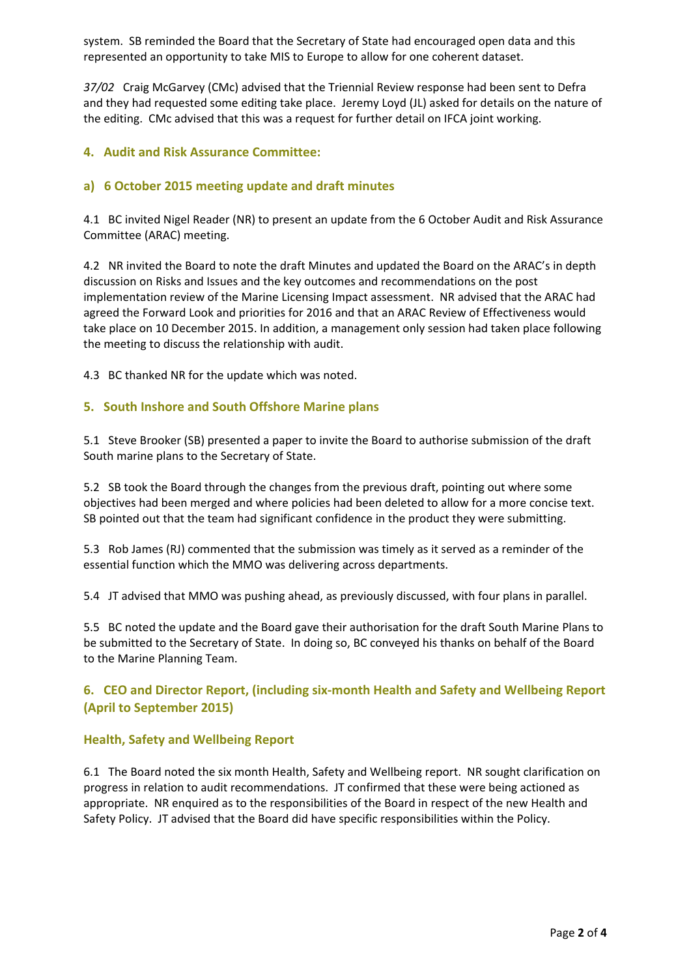system. SB reminded the Board that the Secretary of State had encouraged open data and this represented an opportunity to take MIS to Europe to allow for one coherent dataset.

*37/02* Craig McGarvey (CMc) advised that the Triennial Review response had been sent to Defra and they had requested some editing take place. Jeremy Loyd (JL) asked for details on the nature of the editing. CMc advised that this was a request for further detail on IFCA joint working.

## **4. Audit and Risk Assurance Committee:**

## **a) 6 October 2015 meeting update and draft minutes**

4.1 BC invited Nigel Reader (NR) to present an update from the 6 October Audit and Risk Assurance Committee (ARAC) meeting.

4.2 NR invited the Board to note the draft Minutes and updated the Board on the ARAC's in depth discussion on Risks and Issues and the key outcomes and recommendations on the post implementation review of the Marine Licensing Impact assessment. NR advised that the ARAC had agreed the Forward Look and priorities for 2016 and that an ARAC Review of Effectiveness would take place on 10 December 2015. In addition, a management only session had taken place following the meeting to discuss the relationship with audit.

4.3 BC thanked NR for the update which was noted.

#### **5. South Inshore and South Offshore Marine plans**

5.1 Steve Brooker (SB) presented a paper to invite the Board to authorise submission of the draft South marine plans to the Secretary of State.

5.2 SB took the Board through the changes from the previous draft, pointing out where some objectives had been merged and where policies had been deleted to allow for a more concise text. SB pointed out that the team had significant confidence in the product they were submitting.

5.3 Rob James (RJ) commented that the submission was timely as it served as a reminder of the essential function which the MMO was delivering across departments.

5.4 JT advised that MMO was pushing ahead, as previously discussed, with four plans in parallel.

5.5 BC noted the update and the Board gave their authorisation for the draft South Marine Plans to be submitted to the Secretary of State. In doing so, BC conveyed his thanks on behalf of the Board to the Marine Planning Team.

# **6. CEO and Director Report, (including six‐month Health and Safety and Wellbeing Report (April to September 2015)**

#### **Health, Safety and Wellbeing Report**

6.1 The Board noted the six month Health, Safety and Wellbeing report. NR sought clarification on progress in relation to audit recommendations. JT confirmed that these were being actioned as appropriate. NR enquired as to the responsibilities of the Board in respect of the new Health and Safety Policy. JT advised that the Board did have specific responsibilities within the Policy.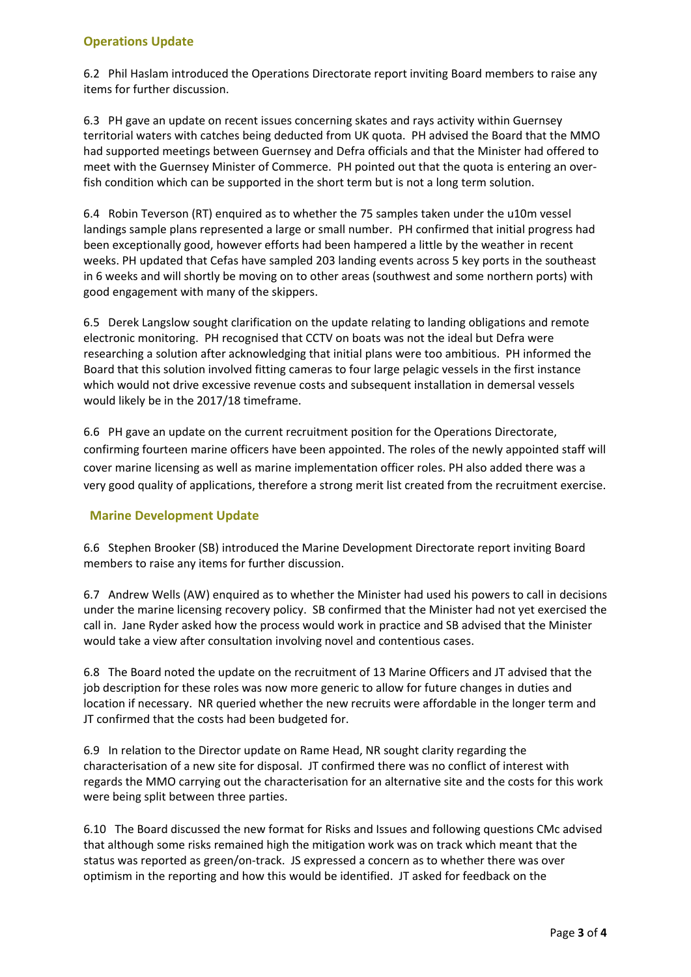## **Operations Update**

6.2 Phil Haslam introduced the Operations Directorate report inviting Board members to raise any items for further discussion.

6.3 PH gave an update on recent issues concerning skates and rays activity within Guernsey territorial waters with catches being deducted from UK quota. PH advised the Board that the MMO had supported meetings between Guernsey and Defra officials and that the Minister had offered to meet with the Guernsey Minister of Commerce. PH pointed out that the quota is entering an over‐ fish condition which can be supported in the short term but is not a long term solution.

6.4 Robin Teverson (RT) enquired as to whether the 75 samples taken under the u10m vessel landings sample plans represented a large or small number. PH confirmed that initial progress had been exceptionally good, however efforts had been hampered a little by the weather in recent weeks. PH updated that Cefas have sampled 203 landing events across 5 key ports in the southeast in 6 weeks and will shortly be moving on to other areas (southwest and some northern ports) with good engagement with many of the skippers.

6.5 Derek Langslow sought clarification on the update relating to landing obligations and remote electronic monitoring. PH recognised that CCTV on boats was not the ideal but Defra were researching a solution after acknowledging that initial plans were too ambitious. PH informed the Board that this solution involved fitting cameras to four large pelagic vessels in the first instance which would not drive excessive revenue costs and subsequent installation in demersal vessels would likely be in the 2017/18 timeframe.

6.6 PH gave an update on the current recruitment position for the Operations Directorate, confirming fourteen marine officers have been appointed. The roles of the newly appointed staff will cover marine licensing as well as marine implementation officer roles. PH also added there was a very good quality of applications, therefore a strong merit list created from the recruitment exercise.

## **Marine Development Update**

6.6 Stephen Brooker (SB) introduced the Marine Development Directorate report inviting Board members to raise any items for further discussion.

6.7 Andrew Wells (AW) enquired as to whether the Minister had used his powers to call in decisions under the marine licensing recovery policy. SB confirmed that the Minister had not yet exercised the call in. Jane Ryder asked how the process would work in practice and SB advised that the Minister would take a view after consultation involving novel and contentious cases.

6.8 The Board noted the update on the recruitment of 13 Marine Officers and JT advised that the job description for these roles was now more generic to allow for future changes in duties and location if necessary. NR queried whether the new recruits were affordable in the longer term and JT confirmed that the costs had been budgeted for.

6.9 In relation to the Director update on Rame Head, NR sought clarity regarding the characterisation of a new site for disposal. JT confirmed there was no conflict of interest with regards the MMO carrying out the characterisation for an alternative site and the costs for this work were being split between three parties.

6.10 The Board discussed the new format for Risks and Issues and following questions CMc advised that although some risks remained high the mitigation work was on track which meant that the status was reported as green/on-track. JS expressed a concern as to whether there was over optimism in the reporting and how this would be identified. JT asked for feedback on the